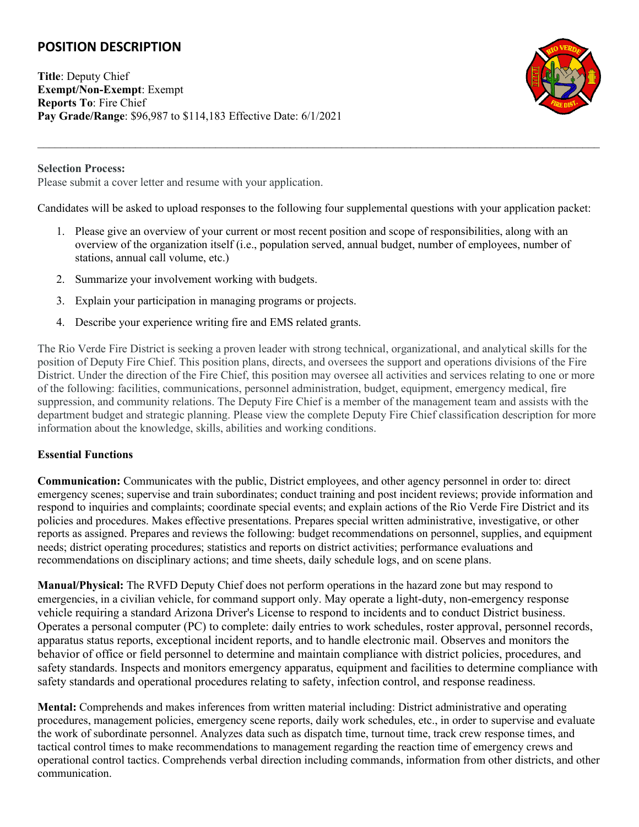# **POSITION DESCRIPTION**

**Title**: Deputy Chief **Exempt/Non-Exempt**: Exempt **Reports To**: Fire Chief **Pay Grade/Range**: \$96,987 to \$114,183 Effective Date: 6/1/2021



#### **Selection Process:**

Please submit a cover letter and resume with your application.

Candidates will be asked to upload responses to the following four supplemental questions with your application packet:

 $\_$ 

- 1. Please give an overview of your current or most recent position and scope of responsibilities, along with an overview of the organization itself (i.e., population served, annual budget, number of employees, number of stations, annual call volume, etc.)
- 2. Summarize your involvement working with budgets.
- 3. Explain your participation in managing programs or projects.
- 4. Describe your experience writing fire and EMS related grants.

The Rio Verde Fire District is seeking a proven leader with strong technical, organizational, and analytical skills for the position of Deputy Fire Chief. This position plans, directs, and oversees the support and operations divisions of the Fire District. Under the direction of the Fire Chief, this position may oversee all activities and services relating to one or more of the following: facilities, communications, personnel administration, budget, equipment, emergency medical, fire suppression, and community relations. The Deputy Fire Chief is a member of the management team and assists with the department budget and strategic planning. Please view the complete Deputy Fire Chief classification description for more information about the knowledge, skills, abilities and working conditions.

## **Essential Functions**

**Communication:** Communicates with the public, District employees, and other agency personnel in order to: direct emergency scenes; supervise and train subordinates; conduct training and post incident reviews; provide information and respond to inquiries and complaints; coordinate special events; and explain actions of the Rio Verde Fire District and its policies and procedures. Makes effective presentations. Prepares special written administrative, investigative, or other reports as assigned. Prepares and reviews the following: budget recommendations on personnel, supplies, and equipment needs; district operating procedures; statistics and reports on district activities; performance evaluations and recommendations on disciplinary actions; and time sheets, daily schedule logs, and on scene plans.

**Manual/Physical:** The RVFD Deputy Chief does not perform operations in the hazard zone but may respond to emergencies, in a civilian vehicle, for command support only. May operate a light-duty, non-emergency response vehicle requiring a standard Arizona Driver's License to respond to incidents and to conduct District business. Operates a personal computer (PC) to complete: daily entries to work schedules, roster approval, personnel records, apparatus status reports, exceptional incident reports, and to handle electronic mail. Observes and monitors the behavior of office or field personnel to determine and maintain compliance with district policies, procedures, and safety standards. Inspects and monitors emergency apparatus, equipment and facilities to determine compliance with safety standards and operational procedures relating to safety, infection control, and response readiness.

**Mental:** Comprehends and makes inferences from written material including: District administrative and operating procedures, management policies, emergency scene reports, daily work schedules, etc., in order to supervise and evaluate the work of subordinate personnel. Analyzes data such as dispatch time, turnout time, track crew response times, and tactical control times to make recommendations to management regarding the reaction time of emergency crews and operational control tactics. Comprehends verbal direction including commands, information from other districts, and other communication.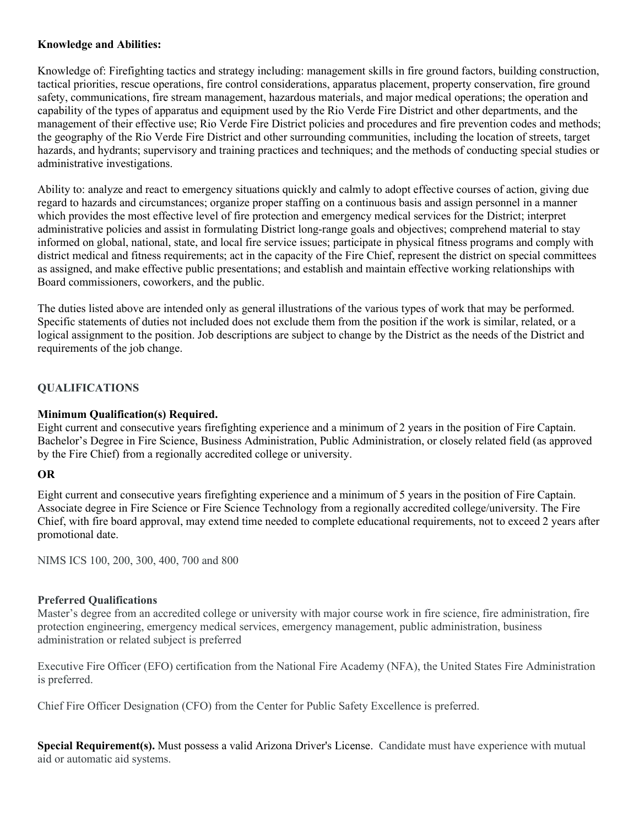#### **Knowledge and Abilities:**

Knowledge of: Firefighting tactics and strategy including: management skills in fire ground factors, building construction, tactical priorities, rescue operations, fire control considerations, apparatus placement, property conservation, fire ground safety, communications, fire stream management, hazardous materials, and major medical operations; the operation and capability of the types of apparatus and equipment used by the Rio Verde Fire District and other departments, and the management of their effective use; Rio Verde Fire District policies and procedures and fire prevention codes and methods; the geography of the Rio Verde Fire District and other surrounding communities, including the location of streets, target hazards, and hydrants; supervisory and training practices and techniques; and the methods of conducting special studies or administrative investigations.

Ability to: analyze and react to emergency situations quickly and calmly to adopt effective courses of action, giving due regard to hazards and circumstances; organize proper staffing on a continuous basis and assign personnel in a manner which provides the most effective level of fire protection and emergency medical services for the District; interpret administrative policies and assist in formulating District long-range goals and objectives; comprehend material to stay informed on global, national, state, and local fire service issues; participate in physical fitness programs and comply with district medical and fitness requirements; act in the capacity of the Fire Chief, represent the district on special committees as assigned, and make effective public presentations; and establish and maintain effective working relationships with Board commissioners, coworkers, and the public.

The duties listed above are intended only as general illustrations of the various types of work that may be performed. Specific statements of duties not included does not exclude them from the position if the work is similar, related, or a logical assignment to the position. Job descriptions are subject to change by the District as the needs of the District and requirements of the job change.

## **QUALIFICATIONS**

#### **Minimum Qualification(s) Required.**

Eight current and consecutive years firefighting experience and a minimum of 2 years in the position of Fire Captain. Bachelor's Degree in Fire Science, Business Administration, Public Administration, or closely related field (as approved by the Fire Chief) from a regionally accredited college or university.

## **OR**

Eight current and consecutive years firefighting experience and a minimum of 5 years in the position of Fire Captain. Associate degree in Fire Science or Fire Science Technology from a regionally accredited college/university. The Fire Chief, with fire board approval, may extend time needed to complete educational requirements, not to exceed 2 years after promotional date.

NIMS ICS 100, 200, 300, 400, 700 and 800

#### **Preferred Qualifications**

Master's degree from an accredited college or university with major course work in fire science, fire administration, fire protection engineering, emergency medical services, emergency management, public administration, business administration or related subject is preferred

Executive Fire Officer (EFO) certification from the National Fire Academy (NFA), the United States Fire Administration is preferred.

Chief Fire Officer Designation (CFO) from the Center for Public Safety Excellence is preferred.

**Special Requirement(s).** Must possess a valid Arizona Driver's License. Candidate must have experience with mutual aid or automatic aid systems.